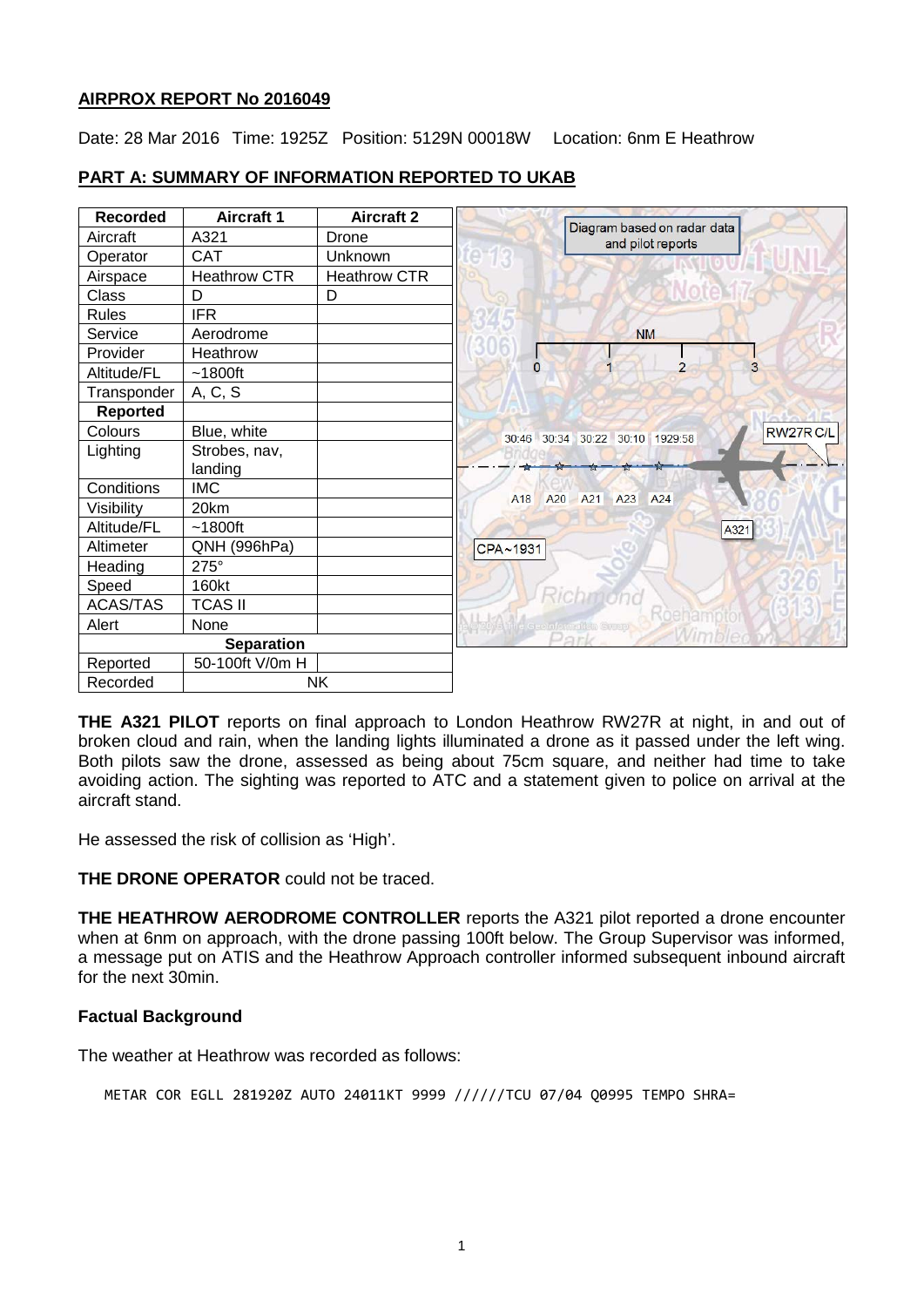# **AIRPROX REPORT No 2016049**

Date: 28 Mar 2016 Time: 1925Z Position: 5129N 00018W Location: 6nm E Heathrow

| <b>Recorded</b>   | <b>Aircraft 1</b> | <b>Aircraft 2</b> |                                                   |
|-------------------|-------------------|-------------------|---------------------------------------------------|
| Aircraft          | A321              | Drone             | Diagram based on radar data<br>and pilot reports  |
| Operator          | <b>CAT</b>        | Unknown           |                                                   |
| Airspace          | Heathrow CTR      | Heathrow CTR      |                                                   |
| Class             | D                 | D                 |                                                   |
| Rules             | <b>IFR</b>        |                   |                                                   |
| Service           | Aerodrome         |                   | <b>NM</b>                                         |
| Provider          | Heathrow          |                   |                                                   |
| Altitude/FL       | $~1800$ ft        |                   | $\overline{2}$<br>3<br>$\Omega$                   |
| Transponder       | A, C, S           |                   |                                                   |
| Reported          |                   |                   |                                                   |
| Colours           | Blue, white       |                   | RW27RC/L<br>30:46 30:34 30:22 30:10 1929:58       |
| Lighting          | Strobes, nav,     |                   |                                                   |
|                   | landing           |                   |                                                   |
| Conditions        | <b>IMC</b>        |                   | A <sub>20</sub><br>A21 A23 A24<br>A <sub>18</sub> |
| Visibility        | 20km              |                   |                                                   |
| Altitude/FL       | $~1800$ ft        |                   | A321                                              |
| Altimeter         | QNH (996hPa)      |                   | CPA~1931                                          |
| Heading           | 275°              |                   |                                                   |
| Speed             | 160kt             |                   | Richmond                                          |
| <b>ACAS/TAS</b>   | <b>TCAS II</b>    |                   |                                                   |
| Alert             | None              |                   | Tola line Geenfamettan Group                      |
| <b>Separation</b> |                   |                   | Park                                              |
| Reported          | 50-100ft V/0m H   |                   |                                                   |
| Recorded          | <b>NK</b>         |                   |                                                   |

# **PART A: SUMMARY OF INFORMATION REPORTED TO UKAB**

**THE A321 PILOT** reports on final approach to London Heathrow RW27R at night, in and out of broken cloud and rain, when the landing lights illuminated a drone as it passed under the left wing. Both pilots saw the drone, assessed as being about 75cm square, and neither had time to take avoiding action. The sighting was reported to ATC and a statement given to police on arrival at the aircraft stand.

He assessed the risk of collision as 'High'.

**THE DRONE OPERATOR** could not be traced.

**THE HEATHROW AERODROME CONTROLLER** reports the A321 pilot reported a drone encounter when at 6nm on approach, with the drone passing 100ft below. The Group Supervisor was informed, a message put on ATIS and the Heathrow Approach controller informed subsequent inbound aircraft for the next 30min.

#### **Factual Background**

The weather at Heathrow was recorded as follows:

METAR COR EGLL 281920Z AUTO 24011KT 9999 //////TCU 07/04 Q0995 TEMPO SHRA=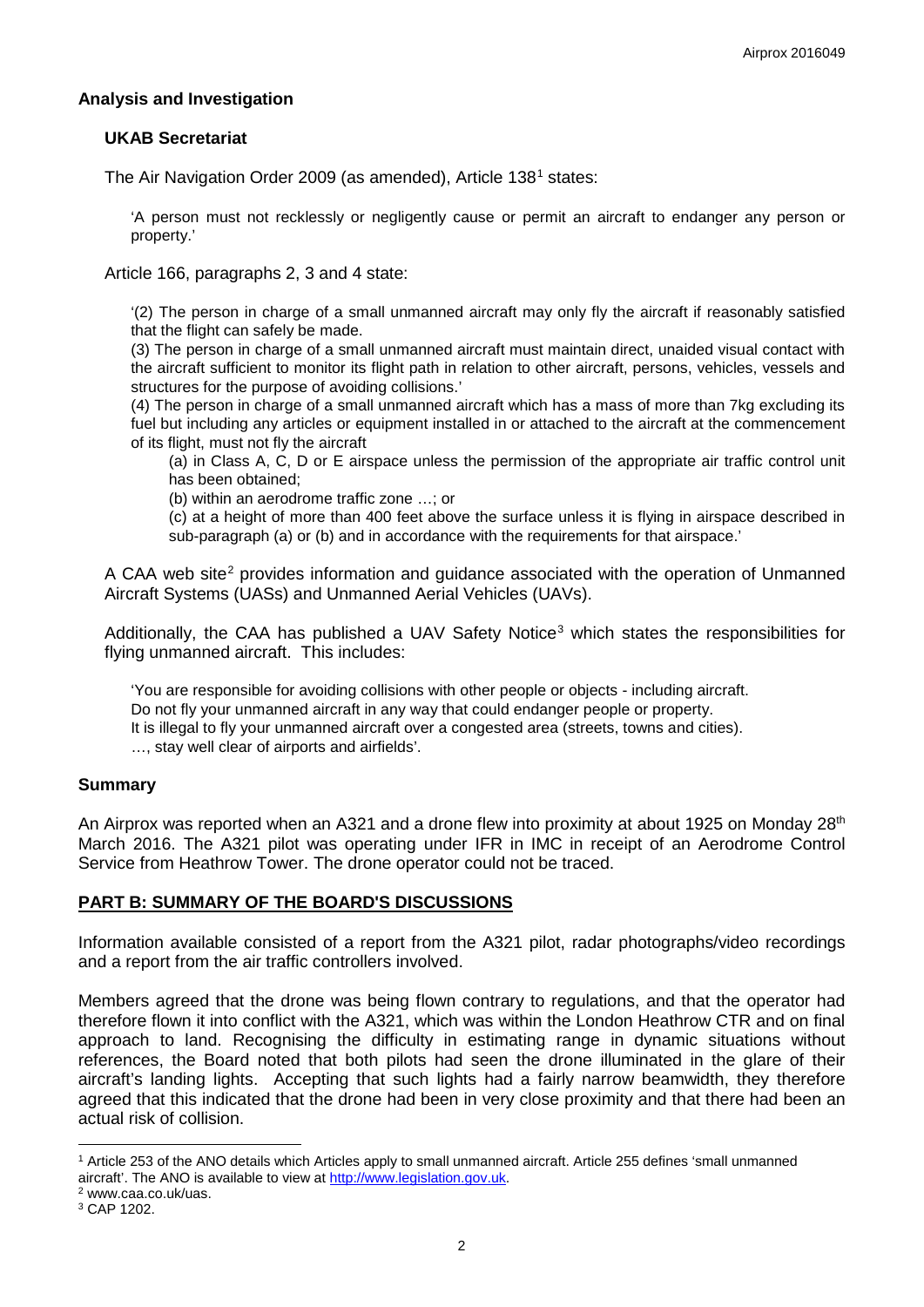## **Analysis and Investigation**

## **UKAB Secretariat**

The Air Navigation Order 2009 (as amended), Article [1](#page-1-0)38<sup>1</sup> states:

'A person must not recklessly or negligently cause or permit an aircraft to endanger any person or property.'

Article 166, paragraphs 2, 3 and 4 state:

'(2) The person in charge of a small unmanned aircraft may only fly the aircraft if reasonably satisfied that the flight can safely be made.

(3) The person in charge of a small unmanned aircraft must maintain direct, unaided visual contact with the aircraft sufficient to monitor its flight path in relation to other aircraft, persons, vehicles, vessels and structures for the purpose of avoiding collisions.'

(4) The person in charge of a small unmanned aircraft which has a mass of more than 7kg excluding its fuel but including any articles or equipment installed in or attached to the aircraft at the commencement of its flight, must not fly the aircraft

(a) in Class A, C, D or E airspace unless the permission of the appropriate air traffic control unit has been obtained;

(b) within an aerodrome traffic zone …; or

(c) at a height of more than 400 feet above the surface unless it is flying in airspace described in sub-paragraph (a) or (b) and in accordance with the requirements for that airspace.'

A CAA web site<sup>[2](#page-1-1)</sup> provides information and quidance associated with the operation of Unmanned Aircraft Systems (UASs) and Unmanned Aerial Vehicles (UAVs).

Additionally, the CAA has published a UAV Safety Notice<sup>[3](#page-1-2)</sup> which states the responsibilities for flying unmanned aircraft. This includes:

'You are responsible for avoiding collisions with other people or objects - including aircraft. Do not fly your unmanned aircraft in any way that could endanger people or property. It is illegal to fly your unmanned aircraft over a congested area (streets, towns and cities). …, stay well clear of airports and airfields'.

#### **Summary**

An Airprox was reported when an A321 and a drone flew into proximity at about 1925 on Monday 28<sup>th</sup> March 2016. The A321 pilot was operating under IFR in IMC in receipt of an Aerodrome Control Service from Heathrow Tower. The drone operator could not be traced.

# **PART B: SUMMARY OF THE BOARD'S DISCUSSIONS**

Information available consisted of a report from the A321 pilot, radar photographs/video recordings and a report from the air traffic controllers involved.

Members agreed that the drone was being flown contrary to regulations, and that the operator had therefore flown it into conflict with the A321, which was within the London Heathrow CTR and on final approach to land. Recognising the difficulty in estimating range in dynamic situations without references, the Board noted that both pilots had seen the drone illuminated in the glare of their aircraft's landing lights. Accepting that such lights had a fairly narrow beamwidth, they therefore agreed that this indicated that the drone had been in very close proximity and that there had been an actual risk of collision.

 $\overline{\phantom{a}}$ 

<span id="page-1-0"></span><sup>1</sup> Article 253 of the ANO details which Articles apply to small unmanned aircraft. Article 255 defines 'small unmanned aircraft'. The ANO is available to view at [http://www.legislation.gov.uk.](http://www.legislation.gov.uk/)<sup>2</sup> www.caa.co.uk/uas.<br><sup>3</sup> CAP 1202.

<span id="page-1-1"></span>

<span id="page-1-2"></span>